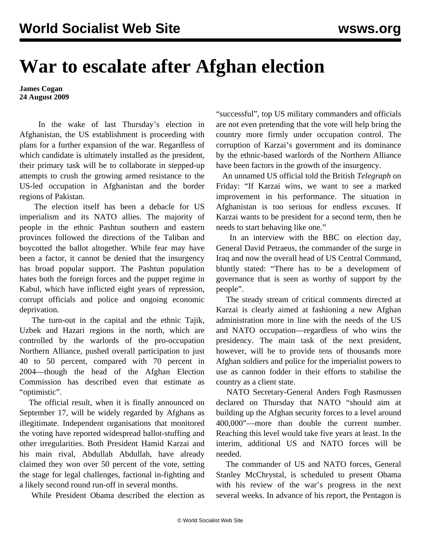## **War to escalate after Afghan election**

**James Cogan 24 August 2009**

 In the wake of last Thursday's election in Afghanistan, the US establishment is proceeding with plans for a further expansion of the war. Regardless of which candidate is ultimately installed as the president, their primary task will be to collaborate in stepped-up attempts to crush the growing armed resistance to the US-led occupation in Afghanistan and the border regions of Pakistan.

 The election itself has been a debacle for US imperialism and its NATO allies. The majority of people in the ethnic Pashtun southern and eastern provinces followed the directions of the Taliban and boycotted the ballot altogether. While fear may have been a factor, it cannot be denied that the insurgency has broad popular support. The Pashtun population hates both the foreign forces and the puppet regime in Kabul, which have inflicted eight years of repression, corrupt officials and police and ongoing economic deprivation.

 The turn-out in the capital and the ethnic Tajik, Uzbek and Hazari regions in the north, which are controlled by the warlords of the pro-occupation Northern Alliance, pushed overall participation to just 40 to 50 percent, compared with 70 percent in 2004—though the head of the Afghan Election Commission has described even that estimate as "optimistic".

 The official result, when it is finally announced on September 17, will be widely regarded by Afghans as illegitimate. Independent organisations that monitored the voting have reported widespread ballot-stuffing and other irregularities. Both President Hamid Karzai and his main rival, Abdullah Abdullah, have already claimed they won over 50 percent of the vote, setting the stage for legal challenges, factional in-fighting and a likely second round run-off in several months.

While President Obama described the election as

"successful", top US military commanders and officials are not even pretending that the vote will help bring the country more firmly under occupation control. The corruption of Karzai's government and its dominance by the ethnic-based warlords of the Northern Alliance have been factors in the growth of the insurgency.

 An unnamed US official told the British *Telegraph* on Friday: "If Karzai wins, we want to see a marked improvement in his performance. The situation in Afghanistan is too serious for endless excuses. If Karzai wants to be president for a second term, then he needs to start behaving like one."

 In an interview with the BBC on election day, General David Petraeus, the commander of the surge in Iraq and now the overall head of US Central Command, bluntly stated: "There has to be a development of governance that is seen as worthy of support by the people".

 The steady stream of critical comments directed at Karzai is clearly aimed at fashioning a new Afghan administration more in line with the needs of the US and NATO occupation—regardless of who wins the presidency. The main task of the next president, however, will be to provide tens of thousands more Afghan soldiers and police for the imperialist powers to use as cannon fodder in their efforts to stabilise the country as a client state.

 NATO Secretary-General Anders Fogh Rasmussen declared on Thursday that NATO "should aim at building up the Afghan security forces to a level around 400,000"—more than double the current number. Reaching this level would take five years at least. In the interim, additional US and NATO forces will be needed.

 The commander of US and NATO forces, General Stanley McChrystal, is scheduled to present Obama with his review of the war's progress in the next several weeks. In advance of his report, the Pentagon is